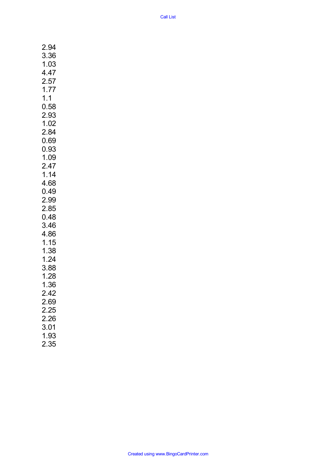| $\mathbf{z}$<br>.94  |
|----------------------|
| 3.36                 |
| 1.03                 |
| 4.47                 |
| 2.57                 |
|                      |
| 1.77                 |
| 1.1                  |
| 0.58                 |
| 2.93                 |
| 1.02                 |
| 2.84                 |
| 0.69                 |
| 0.93                 |
| 1.09                 |
| 2.47                 |
| 1.14                 |
| 4.68                 |
| 0.49                 |
| 2.99                 |
|                      |
| 2.85                 |
| 0.48                 |
| 3.46                 |
| 4.86                 |
| 1.15                 |
| 1.38                 |
| 1.24                 |
| 3.88                 |
| 1.28                 |
| 1.36                 |
| 2.42                 |
| 2.69                 |
|                      |
| 2.25<br>2.26<br>3.01 |
|                      |
|                      |
| 1.93                 |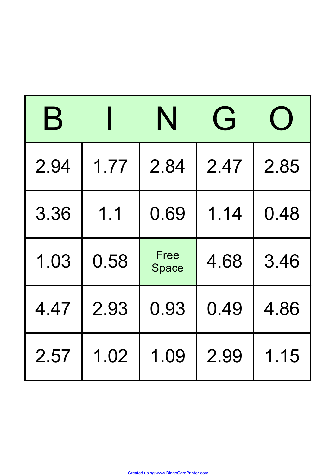| $\mathbf B$ |      | N             | $\overline{G}$ |      |  |
|-------------|------|---------------|----------------|------|--|
| 2.94        | 1.77 | 2.84          | 2.47           | 2.85 |  |
| 3.36        | 1.1  | 0.69          | 1.14           | 0.48 |  |
| 1.03        | 0.58 | Free<br>Space | 4.68           | 3.46 |  |
| 4.47        | 2.93 | 0.93          | 0.49           | 4.86 |  |
| 2.57        | 1.02 | 1.09          | 2.99           | 1.15 |  |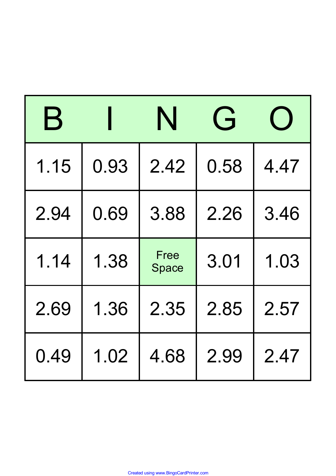| $\mathbf B$ |      | N             | $\overrightarrow{F}$ |      |  |
|-------------|------|---------------|----------------------|------|--|
| 1.15        | 0.93 | 2.42          | 0.58                 | 4.47 |  |
| 2.94        | 0.69 | 3.88          | 2.26                 | 3.46 |  |
| 1.14        | 1.38 | Free<br>Space | 3.01                 | 1.03 |  |
| 2.69        | 1.36 | 2.35          | 2.85                 | 2.57 |  |
| 0.49        | 1.02 | 4.68          | 2.99                 | 2.47 |  |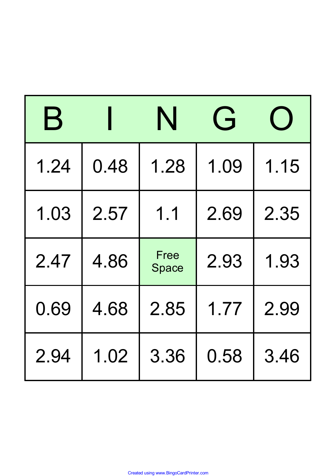| $\bm{\mathsf{B}}$ |      | N             | $\overrightarrow{F}$ |      |  |
|-------------------|------|---------------|----------------------|------|--|
| 1.24              | 0.48 | 1.28          | 1.09                 | 1.15 |  |
| 1.03              | 2.57 | 1.1           | 2.69                 | 2.35 |  |
| 2.47              | 4.86 | Free<br>Space | 2.93                 | 1.93 |  |
| 0.69              | 4.68 | 2.85          | 1.77                 | 2.99 |  |
| 2.94              | 1.02 | 3.36          | 0.58                 | 3.46 |  |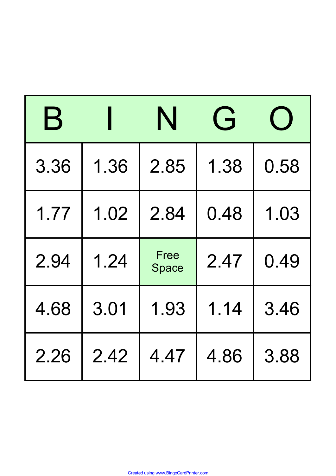| $\mathbf B$ |      | N             | $\overrightarrow{F}$ |      |  |
|-------------|------|---------------|----------------------|------|--|
| 3.36        | 1.36 | 2.85          | 1.38                 | 0.58 |  |
| 1.77        | 1.02 | 2.84          | 0.48                 | 1.03 |  |
| 2.94        | 1.24 | Free<br>Space | 2.47                 | 0.49 |  |
| 4.68        | 3.01 | 1.93          | 1.14                 | 3.46 |  |
| 2.26        | 2.42 | 4.47          | 4.86                 | 3.88 |  |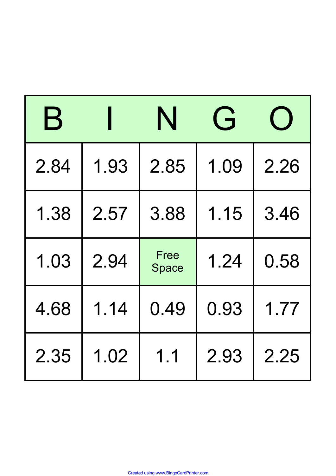| $\mathbf B$ |      | N             | $\overline{G}$ |      |  |
|-------------|------|---------------|----------------|------|--|
| 2.84        | 1.93 | 2.85          | 1.09           | 2.26 |  |
| 1.38        | 2.57 | 3.88          | 1.15           | 3.46 |  |
| 1.03        | 2.94 | Free<br>Space | 1.24           | 0.58 |  |
| 4.68        | 1.14 | 0.49          | 0.93           | 1.77 |  |
| 2.35        | 1.02 | 1.1           | 2.93           | 2.25 |  |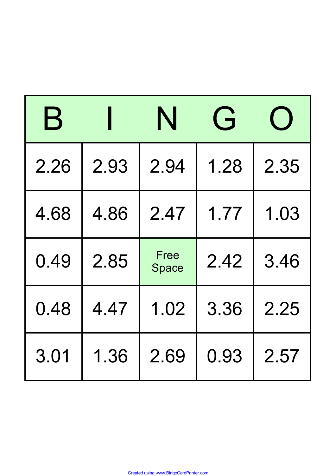| $\mathbf B$ |      | N             | $\overrightarrow{F}$ |      |
|-------------|------|---------------|----------------------|------|
| 2.26        | 2.93 | 2.94          | 1.28                 | 2.35 |
| 4.68        | 4.86 | 2.47          | 1.77                 | 1.03 |
| 0.49        | 2.85 | Free<br>Space | 2.42                 | 3.46 |
| 0.48        | 4.47 | 1.02          | 3.36                 | 2.25 |
| 3.01        | 1.36 | 2.69          | 0.93                 | 2.57 |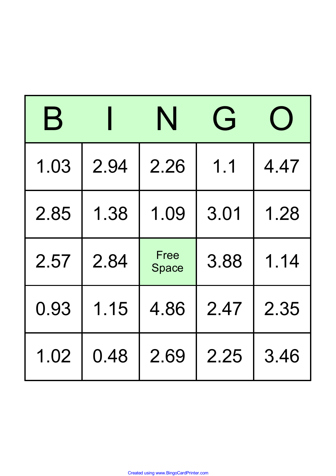| $\mathbf B$ |      | N             | $\overrightarrow{F}$ |      |  |
|-------------|------|---------------|----------------------|------|--|
| 1.03        | 2.94 | 2.26          | 1.1                  | 4.47 |  |
| 2.85        | 1.38 | 1.09          | 3.01                 | 1.28 |  |
| 2.57        | 2.84 | Free<br>Space | 3.88                 | 1.14 |  |
| 0.93        | 1.15 | 4.86          | 2.47                 | 2.35 |  |
| 1.02        | 0.48 | 2.69          | 2.25                 | 3.46 |  |